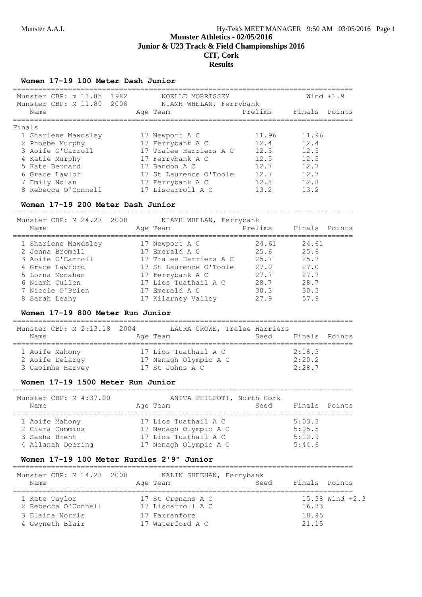**Junior & U23 Track & Field Championships 2016**

# **CIT, Cork Results**

## **Women 17-19 100 Meter Dash Junior**

| Munster CBP: m 11.8h 1982<br>2008<br>Munster CBP: M 11.80 | NOELLE MORRISSEY<br>NIAMH WHELAN, Ferrybank |         | Wind $+1.9$   |
|-----------------------------------------------------------|---------------------------------------------|---------|---------------|
| Name                                                      | Age Team                                    | Prelims | Finals Points |
| Finals                                                    |                                             |         |               |
| 1 Sharlene Mawdsley                                       | 17 Newport A C                              | 11.96   | 11.96         |
| 2 Phoebe Murphy                                           | 17 Ferrybank A C                            | 12.4    | 12.4          |
| 3 Aoife O'Carroll                                         | 17 Tralee Harriers A C                      | 12.5    | 12.5          |
| 4 Katie Murphy                                            | 17 Ferrybank A C                            | 12.5    | 12.5          |
| 5 Kate Bernard                                            | 17 Bandon A C                               | 12.7    | 12.7          |
| 6 Grace Lawlor                                            | 17 St Laurence O'Toole                      | 12.7    | 12.7          |
| 7 Emily Nolan                                             | 17 Ferrybank A C                            | 12.8    | 12.8          |
| 8 Rebecca O'Connell                                       | 17 Liscarroll A C                           | 13.2    | 13.2          |

# **Women 17-19 200 Meter Dash Junior**

| Name | Munster CBP: M 24.27 2008 | NIAMH WHELAN, Ferrybank<br>Age Team | Prelims | Finals Points |
|------|---------------------------|-------------------------------------|---------|---------------|
|      | 1 Sharlene Mawdsley       | 17 Newport A C                      | 24.61   | 24.61         |
|      | 2 Jenna Bromell           | 17 Emerald A C                      | 25.6    | 25.6          |
|      | 3 Aoife O'Carroll         | 17 Tralee Harriers A C              | 25.7    | 25.7          |
|      | 4 Grace Lawford           | 17 St Laurence O'Toole              | 27.0    | 27.0          |
|      | 5 Lorna Monahan           | 17 Ferrybank A C                    | 27.7    | 27.7          |
|      | 6 Niamh Cullen            | 17 Lios Tuathail A C                | 28.7    | 28.7          |
|      | 7 Nicole O'Brien          | 17 Emerald A C                      | 30.3    | 30.3          |
|      | 8 Sarah Leahy             | 17 Kilarney Valley                  | 279     | 57.9          |

## **Women 17-19 800 Meter Run Junior**

| Munster CBP: M 2:13.18 2004 | LAURA CROWE, Tralee Harriers | Finals Points |
|-----------------------------|------------------------------|---------------|
| Name                        | Age Team                     | Seed          |
| 1 Aoife Mahony              | 17 Lios Tuathail A C         | 2:18.3        |
| 2 Aoife Delargy             | 17 Nenagh Olympic A C        | 2:20.2        |
| 3 Caoimhe Harvey            | 17 St Johns A C              | 2:28.7        |

#### **Women 17-19 1500 Meter Run Junior**

| Munster CBP: M 4:37.00<br>Name                                          | ANITA PHILPOTT, North Cork<br>Seed<br>Age Team                                                 | Finals Points                        |
|-------------------------------------------------------------------------|------------------------------------------------------------------------------------------------|--------------------------------------|
| 1 Aoife Mahony<br>2 Ciara Cummins<br>3 Sasha Brent<br>4 Allanah Deering | 17 Lios Tuathail A C<br>17 Nenagh Olympic A C<br>17 Lios Tuathail A C<br>17 Nenagh Olympic A C | 5:03.3<br>5:05.5<br>5:12.9<br>5:44.6 |

#### **Women 17-19 100 Meter Hurdles 2'9" Junior**

| Munster CBP: M 14.28 2008<br>Name | KALIN SHEEHAN, Ferrybank<br>Seed<br>Age Team | Finals Points       |
|-----------------------------------|----------------------------------------------|---------------------|
| 1 Kate Taylor                     | 17 St Cronans A C                            | $15.38$ Wind $+2.3$ |
| 2 Rebecca O'Connell               | 17 Liscarroll A C                            | 16.33               |
| 3 Elaina Norris                   | 17 Farranfore                                | 18.95               |
| 4 Gwyneth Blair                   | 17 Waterford A C                             | 21.15               |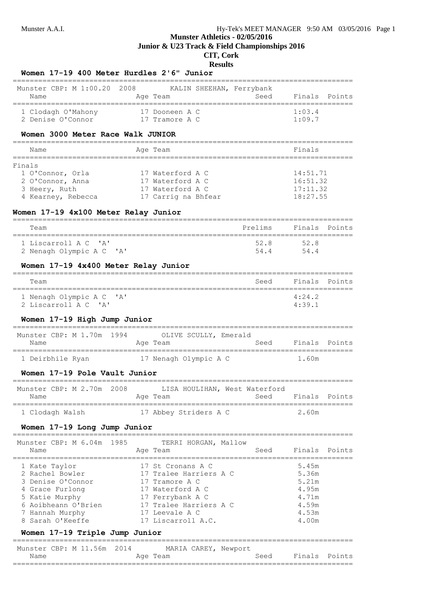# **Munster Athletics - 02/05/2016 Junior & U23 Track & Field Championships 2016**

# **CIT, Cork Results**

# **Women 17-19 400 Meter Hurdles 2'6" Junior**

| Munster CBP: M 1:00.20 2008<br>Name | KALIN SHEEHAN, Ferrybank<br>Age Team | Seed | Finals Points |
|-------------------------------------|--------------------------------------|------|---------------|
| 1 Clodagh O'Mahony                  | 17 Dooneen A C                       |      | 1:03.4        |
| 2 Denise O'Connor                   | 17 Tramore A C                       |      | 1:09.7        |

## **Women 3000 Meter Race Walk JUNIOR**

|                     | Finals   |
|---------------------|----------|
|                     |          |
| 17 Waterford A C    | 14:51.71 |
| 17 Waterford A C    | 16:51.32 |
| 17 Waterford A C    | 17:11.32 |
| 17 Carrig na Bhfear | 18:27.55 |
|                     | Age Team |

## **Women 17-19 4x100 Meter Relay Junior**

| Team                     | Prelims | Finals Points |  |
|--------------------------|---------|---------------|--|
| 1 Liscarroll A C 'A'     | 52 R    | 52.8          |  |
| 2 Nenagh Olympic A C 'A' | 544     | 544           |  |

## **Women 17-19 4x400 Meter Relay Junior**

| Team                                             | Seed Finals Points               |  |
|--------------------------------------------------|----------------------------------|--|
| 1 Nenagh Olympic A C 'A'<br>2 Liscarroll A C 'A' | $4 \cdot 24$ 2<br>$4 \cdot 39$ 1 |  |

# **Women 17-19 High Jump Junior**

| Munster CBP: M 1.70m 1994 | OLIVE SCULLY, Emerald |      |               |
|---------------------------|-----------------------|------|---------------|
| Name                      | Age Team              | Seed | Finals Points |
| 1 Deirbhile Ryan          | 17 Nenagh Olympic A C |      | 1.60m         |

# **Women 17-19 Pole Vault Junior**

| Munster CBP: M 2.70m 2008 |          | LISA HOULIHAN, West Waterford |      |                   |  |
|---------------------------|----------|-------------------------------|------|-------------------|--|
| Name                      | Age Team |                               | Seed | - Finals - Points |  |
|                           |          |                               |      |                   |  |
| 1 Clodagh Walsh           |          | 17 Abbey Striders A C         |      | 2.60m             |  |

## **Women 17-19 Long Jump Junior**

| Munster CBP: M 6.04m 1985<br>Name    | TERRI HORGAN, Mallow<br>Age Team         | Seed | Finals Points  |  |
|--------------------------------------|------------------------------------------|------|----------------|--|
| 1 Kate Taylor                        | 17 St Cronans A C                        |      | 5.45m<br>5.36m |  |
| 2 Rachel Bowler<br>3 Denise O'Connor | 17 Tralee Harriers A C<br>17 Tramore A C |      | 5.21m          |  |
| 4 Grace Furlong<br>5 Katie Murphy    | 17 Waterford A C<br>17 Ferrybank A C     |      | 4.95m<br>4.71m |  |
| 6 Aoibheann O'Brien                  | 17 Tralee Harriers A C                   |      | 4.59m          |  |
| 7 Hannah Murphy<br>8 Sarah O'Keeffe  | 17 Leevale A C<br>17 Liscarroll A.C.     |      | 4.53m<br>4.00m |  |
|                                      |                                          |      |                |  |

## **Women 17-19 Triple Jump Junior**

| Munster CBP: M 11.56m 2014 |  |  |          | MARIA CAREY, Newport |      |               |  |
|----------------------------|--|--|----------|----------------------|------|---------------|--|
| Name                       |  |  | Age Team |                      | Seed | Finals Points |  |
|                            |  |  |          |                      |      |               |  |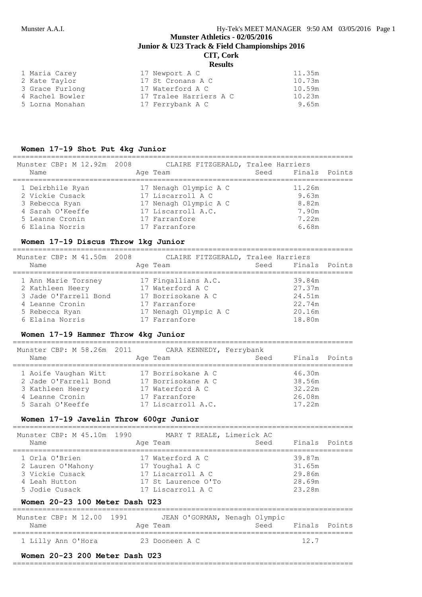#### Munster A.A.I. Hy-Tek's MEET MANAGER 9:50 AM 03/05/2016 Page 1

# **Munster Athletics - 02/05/2016 Junior & U23 Track & Field Championships 2016 CIT, Cork**

# **Results**

| 1 Maria Carey   | 17 Newport A C         | 11.35m |
|-----------------|------------------------|--------|
| 2 Kate Taylor   | 17 St Cronans A C      | 10.73m |
| 3 Grace Furlong | 17 Waterford A C       | 10.59m |
| 4 Rachel Bowler | 17 Tralee Harriers A C | 10.23m |
| 5 Lorna Monahan | 17 Ferrybank A C       | 9.65m  |

#### **Women 17-19 Shot Put 4kg Junior**

| Munster CBP: M 12.92m 2008<br>Name  | CLAIRE FITZGERALD, Tralee Harriers<br>Age Team | Seed Finals Points |
|-------------------------------------|------------------------------------------------|--------------------|
| 1 Deirbhile Ryan<br>2 Vickie Cusack | 17 Nenagh Olympic A C<br>17 Liscarroll A C     | 11.26m<br>9.63m    |
| 3 Rebecca Ryan                      | 17 Nenagh Olympic A C                          | 8.82m              |
| 4 Sarah O'Keeffe                    | 17 Liscarroll A.C.                             | 7.90m              |
| 5 Leanne Cronin                     | 17 Farranfore                                  | 7.22m              |
| 6 Elaina Norris                     | 17 Farranfore                                  | 6.68m              |

## **Women 17-19 Discus Throw 1kg Junior**

================================================================================ Munster CBP: M 41.50m 2008 CLAIRE FITZGERALD, Tralee Harriers Name Mage Team Age Team Seed Finals Points ================================================================================ 1 Ann Marie Torsney 17 Fingallians A.C. 39.84m 2 Kathleen Heery 17 Waterford A C 27.37m 3 Jade O'Farrell Bond 17 Borrisokane A C 24.51m 4 Leanne Cronin 17 Farranfore 22.74m 5 Rebecca Ryan 17 Nenagh Olympic A C 20.16m 6 Elaina Norris 17 Farranfore 18.80m

#### **Women 17-19 Hammer Throw 4kg Junior**

| Munster CBP: M 58.26m 2011<br>Name                                                                       | Age Team                                                                                            | CARA KENNEDY, Ferrybank<br>Seed | Finals Points                                  |
|----------------------------------------------------------------------------------------------------------|-----------------------------------------------------------------------------------------------------|---------------------------------|------------------------------------------------|
| 1 Aoife Vaughan Witt<br>2 Jade O'Farrell Bond<br>3 Kathleen Heery<br>4 Leanne Cronin<br>5 Sarah O'Keeffe | 17 Borrisokane A C<br>17 Borrisokane A C<br>17 Waterford A C<br>17 Farranfore<br>17 Liscarroll A.C. |                                 | 46.30m<br>38.56m<br>32.22m<br>26.08m<br>17.22m |

#### **Women 17-19 Javelin Throw 600gr Junior**

| Munster CBP: M 45.10m 1990 | MARY T REALE, Limerick AC | Finals Points |
|----------------------------|---------------------------|---------------|
| Name                       | Age Team                  | Seed          |
| 1 Orla O'Brien             | 17 Waterford A C          | 39.87m        |
| 2 Lauren O'Mahony          | 17 Youghal A C            | 31.65m        |
| 3 Vickie Cusack            | 17 Liscarroll A C         | 29.86m        |
| 4 Leah Hutton              | 17 St. Laurence O'To      | 28.69m        |
| 5 Jodie Cusack             | 17 Liscarroll A C         | 23.28m        |

#### **Women 20-23 100 Meter Dash U23**

| Munster CBP: M 12.00 1991 | JEAN O'GORMAN, Nenagh Olympic | Finals Points |
|---------------------------|-------------------------------|---------------|
| Name                      | Age Team                      | Seed          |
| 1 Lilly Ann O'Hora        | 23 Dooneen A C                | 12.7          |

#### **Women 20-23 200 Meter Dash U23**

#### ================================================================================